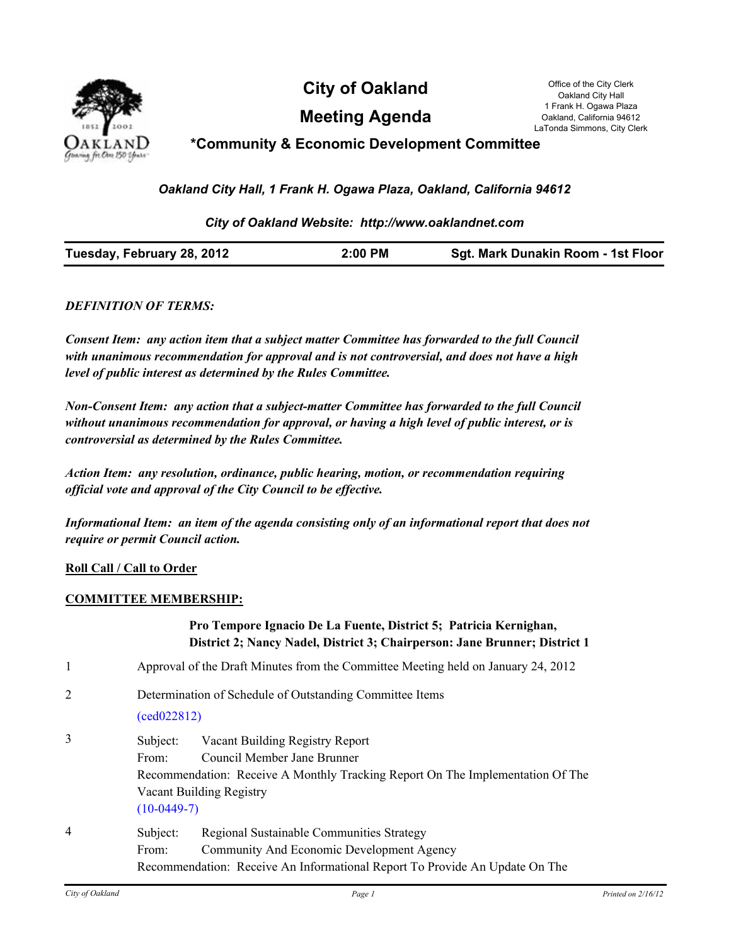

**City of Oakland** Office of the City Clerk

**Meeting Agenda**

Oakland City Hall 1 Frank H. Ogawa Plaza Oakland, California 94612 LaTonda Simmons, City Clerk

# **\*Community & Economic Development Committee**

*Oakland City Hall, 1 Frank H. Ogawa Plaza, Oakland, California 94612*

### *City of Oakland Website: http://www.oaklandnet.com*

| <b>Sgt. Mark Dunakin Room - 1st Floor</b> |
|-------------------------------------------|
|-------------------------------------------|

#### *DEFINITION OF TERMS:*

*Consent Item: any action item that a subject matter Committee has forwarded to the full Council with unanimous recommendation for approval and is not controversial, and does not have a high level of public interest as determined by the Rules Committee.*

*Non-Consent Item: any action that a subject-matter Committee has forwarded to the full Council without unanimous recommendation for approval, or having a high level of public interest, or is controversial as determined by the Rules Committee.*

*Action Item: any resolution, ordinance, public hearing, motion, or recommendation requiring official vote and approval of the City Council to be effective.*

*Informational Item: an item of the agenda consisting only of an informational report that does not require or permit Council action.*

#### **Roll Call / Call to Order**

#### **COMMITTEE MEMBERSHIP:**

|                |                                                                                   | Pro Tempore Ignacio De La Fuente, District 5; Patricia Kernighan,<br>District 2; Nancy Nadel, District 3; Chairperson: Jane Brunner; District 1                              |  |
|----------------|-----------------------------------------------------------------------------------|------------------------------------------------------------------------------------------------------------------------------------------------------------------------------|--|
| 1              | Approval of the Draft Minutes from the Committee Meeting held on January 24, 2012 |                                                                                                                                                                              |  |
| 2              | Determination of Schedule of Outstanding Committee Items<br>(ced022812)           |                                                                                                                                                                              |  |
| 3              | Subject:<br>From:<br>$(10-0449-7)$                                                | Vacant Building Registry Report<br>Council Member Jane Brunner<br>Recommendation: Receive A Monthly Tracking Report On The Implementation Of The<br>Vacant Building Registry |  |
| $\overline{4}$ | Subject:<br>From:                                                                 | Regional Sustainable Communities Strategy<br>Community And Economic Development Agency<br>Recommendation: Receive An Informational Report To Provide An Update On The        |  |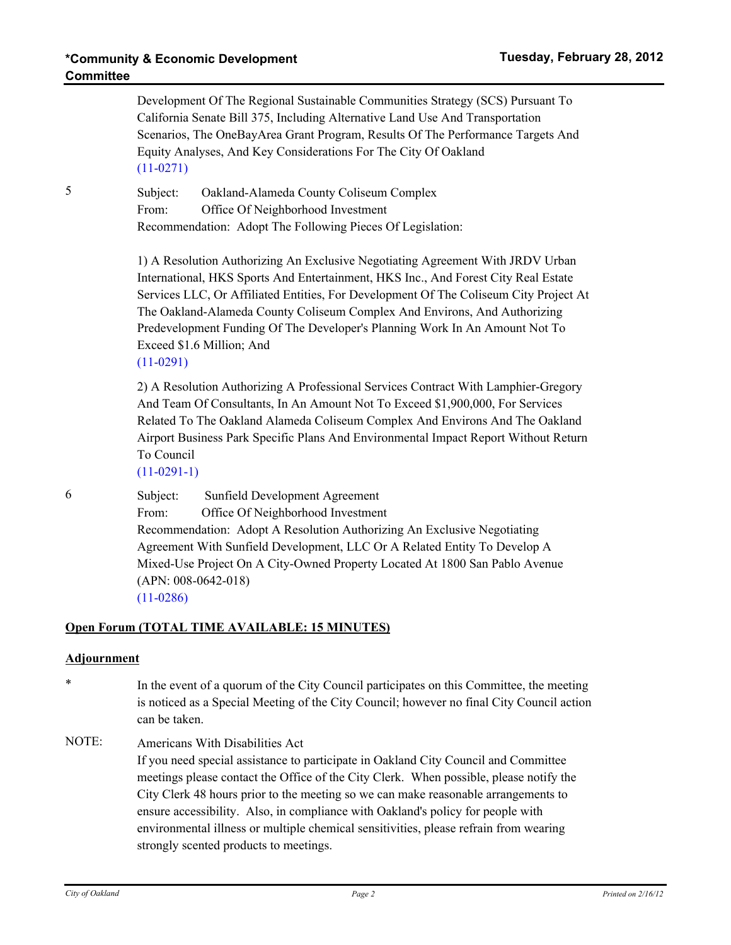Development Of The Regional Sustainable Communities Strategy (SCS) Pursuant To California Senate Bill 375, Including Alternative Land Use And Transportation Scenarios, The OneBayArea Grant Program, Results Of The Performance Targets And Equity Analyses, And Key Considerations For The City Of Oakland [\(11-0271\)](http://oakland.legistar.com/gateway.aspx?M=L&ID=20942) 5 Subject: Oakland-Alameda County Coliseum Complex From: Office Of Neighborhood Investment Recommendation: Adopt The Following Pieces Of Legislation: 1) A Resolution Authorizing An Exclusive Negotiating Agreement With JRDV Urban International, HKS Sports And Entertainment, HKS Inc., And Forest City Real Estate Services LLC, Or Affiliated Entities, For Development Of The Coliseum City Project At The Oakland-Alameda County Coliseum Complex And Environs, And Authorizing Predevelopment Funding Of The Developer's Planning Work In An Amount Not To Exceed \$1.6 Million; And [\(11-0291\)](http://oakland.legistar.com/gateway.aspx?M=L&ID=20969) 2) A Resolution Authorizing A Professional Services Contract With Lamphier-Gregory And Team Of Consultants, In An Amount Not To Exceed \$1,900,000, For Services Related To The Oakland Alameda Coliseum Complex And Environs And The Oakland Airport Business Park Specific Plans And Environmental Impact Report Without Return To Council  $(11-0291-1)$ 6 Subject: Sunfield Development Agreement From: Office Of Neighborhood Investment Recommendation: Adopt A Resolution Authorizing An Exclusive Negotiating Agreement With Sunfield Development, LLC Or A Related Entity To Develop A Mixed-Use Project On A City-Owned Property Located At 1800 San Pablo Avenue (APN: 008-0642-018) [\(11-0286\)](http://oakland.legistar.com/gateway.aspx?M=L&ID=20964) **Open Forum (TOTAL TIME AVAILABLE: 15 MINUTES)**

## **Adjournment**

- \* In the event of a quorum of the City Council participates on this Committee, the meeting is noticed as a Special Meeting of the City Council; however no final City Council action can be taken.
- NOTE: Americans With Disabilities Act If you need special assistance to participate in Oakland City Council and Committee meetings please contact the Office of the City Clerk. When possible, please notify the City Clerk 48 hours prior to the meeting so we can make reasonable arrangements to ensure accessibility. Also, in compliance with Oakland's policy for people with environmental illness or multiple chemical sensitivities, please refrain from wearing strongly scented products to meetings.